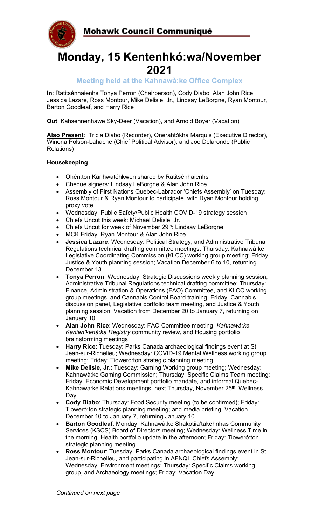Mohawk Council Communiqué



# **Monday, 15 Kentenhkó:wa/November 2021**

**Meeting held at the Kahnawà:ke Office Complex**

**In**: Ratitsénhaienhs Tonya Perron (Chairperson), Cody Diabo, Alan John Rice, Jessica Lazare, Ross Montour, Mike Delisle, Jr., Lindsay LeBorgne, Ryan Montour, Barton Goodleaf, and Harry Rice

**Out**: Kahsennenhawe Sky-Deer (Vacation), and Arnold Boyer (Vacation)

**Also Present**: Tricia Diabo (Recorder), Onerahtókha Marquis (Executive Director), Winona Polson-Lahache (Chief Political Advisor), and Joe Delaronde (Public Relations)

# **Housekeeping**

- Ohén:ton Karihwatéhkwen shared by Ratitsénhaienhs
- Cheque signers: Lindsay LeBorgne & Alan John Rice
- Assembly of First Nations Quebec-Labrador 'Chiefs Assembly' on Tuesday: Ross Montour & Ryan Montour to participate, with Ryan Montour holding proxy vote
- Wednesday: Public Safety/Public Health COVID-19 strategy session
- Chiefs Uncut this week: Michael Delisle, Jr.
- Chiefs Uncut for week of November 29<sup>th</sup>: Lindsay LeBorgne
- MCK Friday: Ryan Montour & Alan John Rice
- **Jessica Lazare**: Wednesday: Political Strategy, and Administrative Tribunal Regulations technical drafting committee meetings; Thursday: Kahnawà:ke Legislative Coordinating Commission (KLCC) working group meeting; Friday: Justice & Youth planning session; Vacation December 6 to 10, returning December 13
- **Tonya Perron**: Wednesday: Strategic Discussions weekly planning session, Administrative Tribunal Regulations technical drafting committee; Thursday: Finance, Administration & Operations (FAO) Committee, and KLCC working group meetings, and Cannabis Control Board training; Friday: Cannabis discussion panel, Legislative portfolio team meeting, and Justice & Youth planning session; Vacation from December 20 to January 7, returning on January 10
- **Alan John Rice**: Wednesday: FAO Committee meeting; *Kahnawà:ke Kanien'kehá:ka Registry* community review, and Housing portfolio brainstorming meetings
- **Harry Rice**: Tuesday: Parks Canada archaeological findings event at St. Jean-sur-Richelieu; Wednesday: COVID-19 Mental Wellness working group meeting; Friday: Tioweró:ton strategic planning meeting
- **Mike Delisle, Jr.**: Tuesday: Gaming Working group meeting; Wednesday: Kahnawà:ke Gaming Commission; Thursday: Specific Claims Team meeting; Friday: Economic Development portfolio mandate, and informal Quebec-Kahnawà:ke Relations meetings; next Thursday, November 25<sup>th</sup>: Wellness Day
- **Cody Diabo**: Thursday: Food Security meeting (to be confirmed); Friday: Tioweró:ton strategic planning meeting; and media briefing; Vacation December 10 to January 7, returning January 10
- **Barton Goodleaf**: Monday: Kahnawà:ke Shakotiia'takehnhas Community Services (KSCS) Board of Directors meeting; Wednesday: Wellness Time in the morning, Health portfolio update in the afternoon; Friday: Tioweró:ton strategic planning meeting
- **Ross Montour**: Tuesday: Parks Canada archaeological findings event in St. Jean-sur-Richelieu, and participating in AFNQL Chiefs Assembly; Wednesday: Environment meetings; Thursday: Specific Claims working group, and Archaeology meetings; Friday: Vacation Day